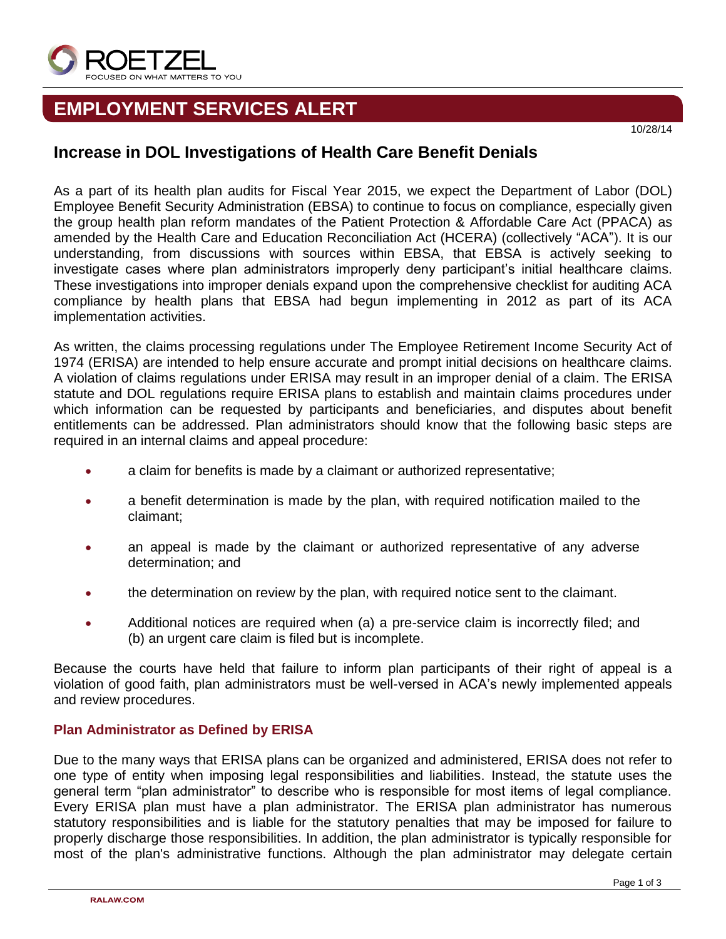

# **EMPLOYMENT SERVICES ALERT**

# **Increase in DOL Investigations of Health Care Benefit Denials**

As a part of its health plan audits for Fiscal Year 2015, we expect the Department of Labor (DOL) Employee Benefit Security Administration (EBSA) to continue to focus on compliance, especially given the group health plan reform mandates of the Patient Protection & Affordable Care Act (PPACA) as amended by the Health Care and Education Reconciliation Act (HCERA) (collectively "ACA"). It is our understanding, from discussions with sources within EBSA, that EBSA is actively seeking to investigate cases where plan administrators improperly deny participant's initial healthcare claims. These investigations into improper denials expand upon the comprehensive checklist for auditing ACA compliance by health plans that EBSA had begun implementing in 2012 as part of its ACA implementation activities.

As written, the claims processing regulations under The Employee Retirement Income Security Act of 1974 (ERISA) are intended to help ensure accurate and prompt initial decisions on healthcare claims. A violation of claims regulations under ERISA may result in an improper denial of a claim. The ERISA statute and DOL regulations require ERISA plans to establish and maintain claims procedures under which information can be requested by participants and beneficiaries, and disputes about benefit entitlements can be addressed. Plan administrators should know that the following basic steps are required in an internal claims and appeal procedure:

- a claim for benefits is made by a claimant or authorized representative;
- a benefit determination is made by the plan, with required notification mailed to the claimant;
- an appeal is made by the claimant or authorized representative of any adverse determination; and
- the determination on review by the plan, with required notice sent to the claimant.
- Additional notices are required when (a) a pre-service claim is incorrectly filed; and (b) an urgent care claim is filed but is incomplete.

Because the courts have held that failure to inform plan participants of their right of appeal is a violation of good faith, plan administrators must be well-versed in ACA's newly implemented appeals and review procedures.

## **Plan Administrator as Defined by ERISA**

Due to the many ways that ERISA plans can be organized and administered, ERISA does not refer to one type of entity when imposing legal responsibilities and liabilities. Instead, the statute uses the general term "plan administrator" to describe who is responsible for most items of legal compliance. Every ERISA plan must have a plan administrator. The ERISA plan administrator has numerous statutory responsibilities and is liable for the statutory penalties that may be imposed for failure to properly discharge those responsibilities. In addition, the plan administrator is typically responsible for most of the plan's administrative functions. Although the plan administrator may delegate certain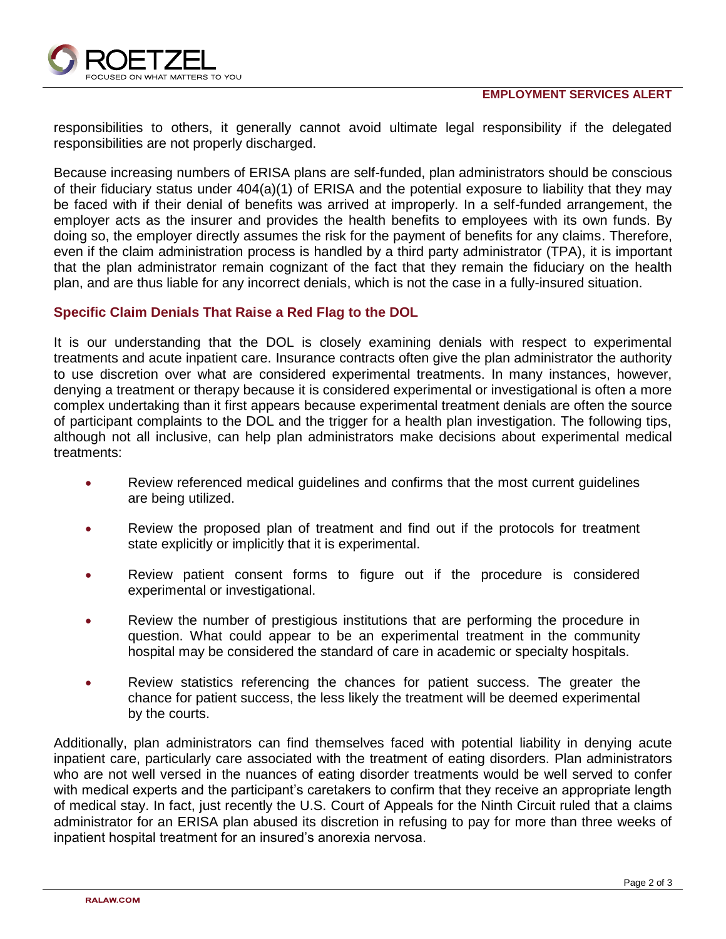

responsibilities to others, it generally cannot avoid ultimate legal responsibility if the delegated responsibilities are not properly discharged.

Because increasing numbers of ERISA plans are self-funded, plan administrators should be conscious of their fiduciary status under 404(a)(1) of ERISA and the potential exposure to liability that they may be faced with if their denial of benefits was arrived at improperly. In a self-funded arrangement, the employer acts as the insurer and provides the health benefits to employees with its own funds. By doing so, the employer directly assumes the risk for the payment of benefits for any claims. Therefore, even if the claim administration process is handled by a third party administrator (TPA), it is important that the plan administrator remain cognizant of the fact that they remain the fiduciary on the health plan, and are thus liable for any incorrect denials, which is not the case in a fully-insured situation.

### **Specific Claim Denials That Raise a Red Flag to the DOL**

It is our understanding that the DOL is closely examining denials with respect to experimental treatments and acute inpatient care. Insurance contracts often give the plan administrator the authority to use discretion over what are considered experimental treatments. In many instances, however, denying a treatment or therapy because it is considered experimental or investigational is often a more complex undertaking than it first appears because experimental treatment denials are often the source of participant complaints to the DOL and the trigger for a health plan investigation. The following tips, although not all inclusive, can help plan administrators make decisions about experimental medical treatments:

- Review referenced medical guidelines and confirms that the most current guidelines are being utilized.
- Review the proposed plan of treatment and find out if the protocols for treatment state explicitly or implicitly that it is experimental.
- Review patient consent forms to figure out if the procedure is considered experimental or investigational.
- Review the number of prestigious institutions that are performing the procedure in question. What could appear to be an experimental treatment in the community hospital may be considered the standard of care in academic or specialty hospitals.
- Review statistics referencing the chances for patient success. The greater the chance for patient success, the less likely the treatment will be deemed experimental by the courts.

Additionally, plan administrators can find themselves faced with potential liability in denying acute inpatient care, particularly care associated with the treatment of eating disorders. Plan administrators who are not well versed in the nuances of eating disorder treatments would be well served to confer with medical experts and the participant's caretakers to confirm that they receive an appropriate length of medical stay. In fact, just recently the U.S. Court of Appeals for the Ninth Circuit ruled that a claims administrator for an ERISA plan abused its discretion in refusing to pay for more than three weeks of inpatient hospital treatment for an insured's anorexia nervosa.